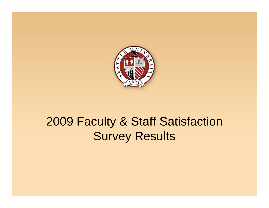

# 2009 Faculty & Staff Satisfaction Survey Results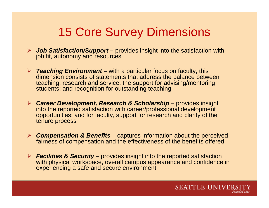## 15 Core Survey Dimensions

- ¾ *Job Satisfaction/Support* **–** provides insight into the satisfaction with job fit, autonomy and resources
- ¾ *Teaching Environment* **–** with a particular focus on faculty, this dimension consists of statements that address the balance between teaching, research and service; the support for advising/mentoring students; and recognition for outstanding teaching
- ¾ *Career Development, Research & Scholarship* provides insight into the reported satisfaction with career/professional development opportunities; and for faculty, support for research and clarity of the tenure process
- ¾ *Compensation & Benefits* captures information about the perceived fairness of compensation and the effectiveness of the benefits offered
- ¾ *Facilities & Security* provides insight into the reported satisfaction with physical workspace, overall campus appearance and confidence in experiencing <sup>a</sup> safe and secure environment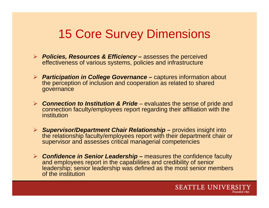## 15 Core Survey Dimensions

- ¾ *Policies, Resources & Efficiency* **–** assesses the perceived effectiveness of various systems, policies and infrastructure
- ¾ *Participation in College Governance* **–** captures information about the perception of inclusion and cooperation as related to shared governance
- ¾ *Connection to Institution & Pride* evaluates the sense of pride and connection faculty/employees report regarding their affiliation with the institution
- ¾ *Supervisor/Department Chair Relationship* **–** provides insight into the relationship faculty/employees report with their department chair or supervisor and assesses critical managerial competencies
- ¾ *Confidence in Senior Leadership* **–** measures the confidence faculty and employees report in the capabilities and credibility of senior leadership; senior leadership was defined as the most senior members of the institution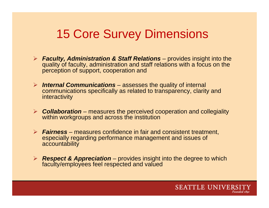### 15 Core Survey Dimensions

- ¾ *Faculty, Administration & Staff Relations* provides insight into the quality of faculty, administration and staff relations with a focus on the perception of support, cooperation and
- ¾ *Internal Communications* assesses the quality of internal communications specifically as related to transparency, clarity and interactivity
- ¾ *Collaboration* measures the perceived cooperation and collegiality within workgroups and across the institution
- ¾ *Fairness* measures confidence in fair and consistent treatment, especially regarding performance management and issues of accountability
- ¾ *Respect & Appreciation* provides insight into the degree to which faculty/employees feel respected and valued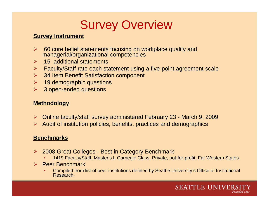## Survey Overview

#### **Survey Instrument**

- ¾ 60 core belief statements focusing on workplace quality and managerial/organizational competencies
- $\blacktriangleright$ 15 additional statements
- $\blacktriangleright$ Faculty/Staff rate each statement using a five-point agreement scale
- $\blacktriangleright$ 34 Item Benefit Satisfaction component
- $\triangleright$  19 demographic questions
- $\blacktriangleright$ 3 open-ended questions

#### **Methodology**

- ▶ Online faculty/staff survey administered February 23 March 9, 2009
- $\triangleright$  Audit of institution policies, benefits, practices and demographics

#### **Benchmarks**

- ¾ 2008 Great Colleges Best in Category Benchmark
	- •1419 Faculty/Staff; Master's L Carnegie Class, Private, not-for-profit, Far Western States.
- ¾ Peer Benchmark
	- •• Compiled from list of peer institutions defined by Seattle University's Office of Institutional Research.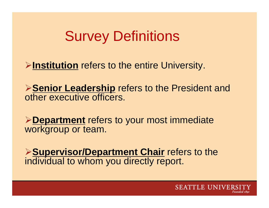# Survey Definitions

¾**Institution** refers to the entire University University.

**≻Senior Leadership** refers to the President and other executive officers.

**Example 2 Fermion Separtment controlled Fermional terminent controlled Fermion Separtment controlled Fermion Separtment controlled Fermion Separtment controlled Fermion Separtment controlled Fermion Separtment Controlled** workgroup or team.

¾**Supervisor/Department Chair** refers to the individual to whom you directly report.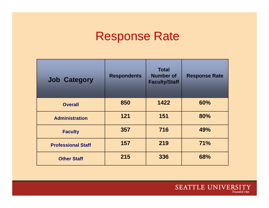## Response Rate

| <b>Job Category</b>       | <b>Respondents</b> | <b>Total</b><br><b>Number of</b><br><b>Faculty/Staff</b> | <b>Response Rate</b> |
|---------------------------|--------------------|----------------------------------------------------------|----------------------|
| <b>Overall</b>            | 850                | 1422                                                     | 60%                  |
| <b>Administration</b>     | 121                | 151                                                      | 80%                  |
| <b>Faculty</b>            | 357                | 716                                                      | 49%                  |
| <b>Professional Staff</b> | 157                | 219                                                      | 71%                  |
| <b>Other Staff</b>        | 215                | 336                                                      | 68%                  |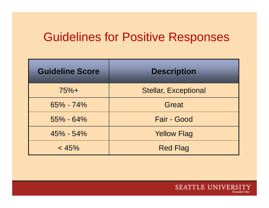### Guidelines for Positive Responses

| <b>Guideline Score</b> | <b>Description</b>          |
|------------------------|-----------------------------|
| $75%+$                 | <b>Stellar, Exceptional</b> |
| 65% - 74%              | Great                       |
| $55\% - 64\%$          | Fair - Good                 |
| $45\% - 54\%$          | <b>Yellow Flag</b>          |
| < 45%                  | <b>Red Flag</b>             |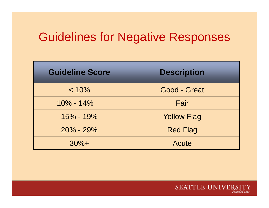## Guidelines for Negative Responses

| <b>Guideline Score</b> | <b>Description</b> |
|------------------------|--------------------|
| $< 10\%$               | Good - Great       |
| $10\% - 14\%$          | Fair               |
| $15\% - 19\%$          | <b>Yellow Flag</b> |
| $20\% - 29\%$          | <b>Red Flag</b>    |
| $30%+$                 | Acute              |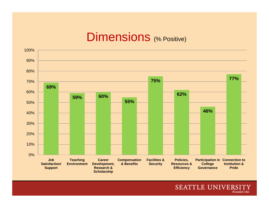#### Dimensions (% Positive)



SEATTLE UNIVERSITY Founded 1891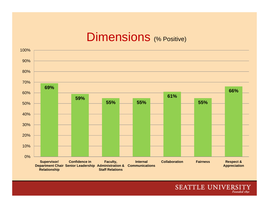#### Dimensions (% Positive)

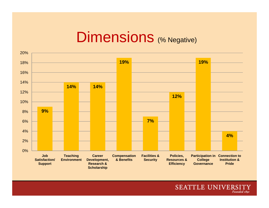# Dimensions (% Negative)

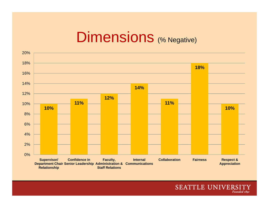# Dimensions (% Negative)

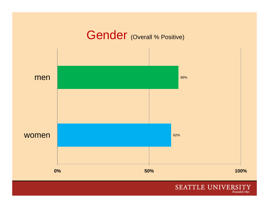

#### SEATTLE UNIVERSITY Founded 1891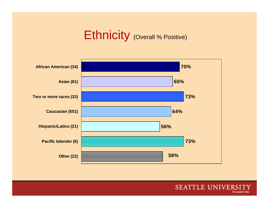# Ethnicity (Overall % Positive)



SEATTLE UNIVERSITY Founded 1891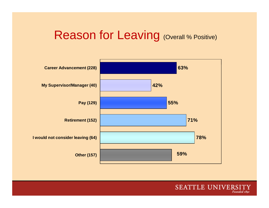#### Reason for Leaving (Overall % Positive)



SEATTLE UNIVERSI Founded 1891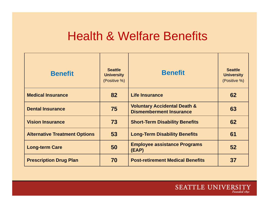#### Health & Welfare Benefits Welfare

| <b>Benefit</b>                       | <b>Seattle</b><br><b>University</b><br>(Positive %) | <b>Benefit</b>                                                            | <b>Seattle</b><br><b>University</b><br>(Positive %) |
|--------------------------------------|-----------------------------------------------------|---------------------------------------------------------------------------|-----------------------------------------------------|
| <b>Medical Insurance</b>             | 82                                                  | <b>Life Insurance</b>                                                     | 62                                                  |
| <b>Dental Insurance</b>              | 75                                                  | <b>Voluntary Accidental Death &amp;</b><br><b>Dismemberment Insurance</b> | 63                                                  |
| <b>Vision Insurance</b>              | 73                                                  | <b>Short-Term Disability Benefits</b>                                     | 62                                                  |
| <b>Alternative Treatment Options</b> | 53                                                  | <b>Long-Term Disability Benefits</b>                                      | 61                                                  |
| <b>Long-term Care</b>                | 50                                                  | <b>Employee assistance Programs</b><br>(EAP)                              | 52                                                  |
| <b>Prescription Drug Plan</b>        | 70                                                  | <b>Post-retirement Medical Benefits</b>                                   | 37                                                  |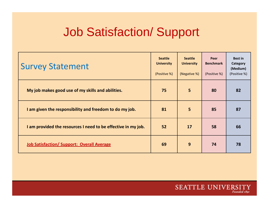## Job Satisfaction/ Support

| <b>Survey Statement</b>                                       | <b>Seattle</b><br><b>University</b><br>(Positive %) | <b>Seattle</b><br><b>University</b><br>(Negative %) | Peer<br><b>Benchmark</b><br>(Positive %) | <b>Best in</b><br>Category<br>(Medium)<br>(Positive %) |
|---------------------------------------------------------------|-----------------------------------------------------|-----------------------------------------------------|------------------------------------------|--------------------------------------------------------|
| My job makes good use of my skills and abilities.             | 75                                                  | 5                                                   | 80                                       | 82                                                     |
| I am given the responsibility and freedom to do my job.       | 81                                                  | $5\overline{5}$                                     | 85                                       | 87                                                     |
| I am provided the resources I need to be effective in my job. | 52                                                  | <b>17</b>                                           | 58                                       | 66                                                     |
| <b>Job Satisfaction/ Support: Overall Average</b>             | 69                                                  | 9                                                   | 74                                       | 78                                                     |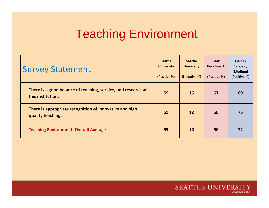# Teaching Environment

| <b>Survey Statement</b>                                                            | <b>Seattle</b><br><b>University</b><br>(Positive %) | <b>Seattle</b><br><b>University</b><br>(Negative %) | Peer<br><b>Benchmark</b><br>(Positive %) | <b>Best in</b><br>Category<br>(Medium)<br>(Positive %) |
|------------------------------------------------------------------------------------|-----------------------------------------------------|-----------------------------------------------------|------------------------------------------|--------------------------------------------------------|
| There is a good balance of teaching, service, and research at<br>this institution. | 59                                                  | <b>16</b>                                           | 67                                       | 69                                                     |
| There is appropriate recognition of innovative and high<br>quality teaching.       | 59                                                  | 12                                                  | 66                                       | 75                                                     |
| <b>Teaching Environment: Overall Average</b>                                       | 59                                                  | 14                                                  | 66                                       | 72                                                     |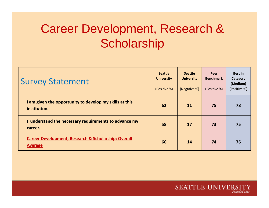# Career Development, Research & **Scholarship**

| <b>Survey Statement</b>                                                          | <b>Seattle</b><br><b>University</b><br>(Positive %) | <b>Seattle</b><br><b>University</b><br>(Negative %) | Peer<br><b>Benchmark</b><br>(Positive %) | <b>Best in</b><br>Category<br>(Medium)<br>(Positive %) |
|----------------------------------------------------------------------------------|-----------------------------------------------------|-----------------------------------------------------|------------------------------------------|--------------------------------------------------------|
| I am given the opportunity to develop my skills at this<br>institution.          | 62                                                  | <b>11</b>                                           | 75                                       | 78                                                     |
| I understand the necessary requirements to advance my<br>career.                 | 58                                                  | 17                                                  | 73                                       | 75                                                     |
| <b>Career Development, Research &amp; Scholarship: Overall</b><br><b>Average</b> | 60                                                  | 14                                                  | 74                                       | 76                                                     |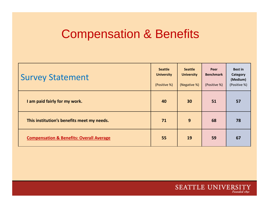## Compensation & Benefits

| <b>Survey Statement</b>                             | <b>Seattle</b><br><b>University</b><br>(Positive %) | <b>Seattle</b><br><b>University</b><br>(Negative %) | Peer<br><b>Benchmark</b><br>(Positive %) | <b>Best in</b><br>Category<br>(Medium)<br>(Positive %) |
|-----------------------------------------------------|-----------------------------------------------------|-----------------------------------------------------|------------------------------------------|--------------------------------------------------------|
| I am paid fairly for my work.                       | 40                                                  | 30                                                  | 51                                       | 57                                                     |
| This institution's benefits meet my needs.          | 71                                                  | 9                                                   | 68                                       | 78                                                     |
| <b>Compensation &amp; Benefits: Overall Average</b> | 55                                                  | 19                                                  | 59                                       | 67                                                     |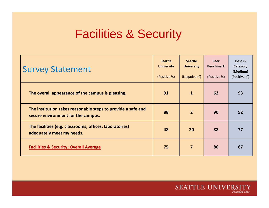#### Facilities & Securit y

| <b>Survey Statement</b>                                                                            | <b>Seattle</b><br><b>University</b><br>(Positive %) | <b>Seattle</b><br><b>University</b><br>(Negative %) | Peer<br><b>Benchmark</b><br>(Positive %) | <b>Best in</b><br>Category<br>(Medium)<br>(Positive %) |
|----------------------------------------------------------------------------------------------------|-----------------------------------------------------|-----------------------------------------------------|------------------------------------------|--------------------------------------------------------|
| The overall appearance of the campus is pleasing.                                                  | 91                                                  | $\mathbf{1}$                                        | 62                                       | 93                                                     |
| The institution takes reasonable steps to provide a safe and<br>secure environment for the campus. | 88                                                  | $\overline{2}$                                      | 90                                       | 92                                                     |
| The facilities (e.g. classrooms, offices, laboratories)<br>adequately meet my needs.               | 48                                                  | 20                                                  | 88                                       | 77                                                     |
| <b>Facilities &amp; Security: Overall Average</b>                                                  | 75                                                  | $\overline{7}$                                      | 80                                       | 87                                                     |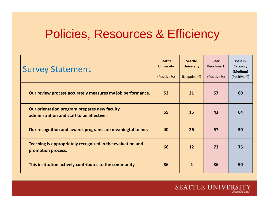## Policies, Resources & Efficiency

| <b>Survey Statement</b>                                                                    | <b>Seattle</b><br><b>University</b><br>(Positive %) | <b>Seattle</b><br><b>University</b><br>(Negative %) | Peer<br><b>Benchmark</b><br>(Positive %) | <b>Best in</b><br>Category<br>(Medium)<br>(Positive %) |
|--------------------------------------------------------------------------------------------|-----------------------------------------------------|-----------------------------------------------------|------------------------------------------|--------------------------------------------------------|
| Our review process accurately measures my job performance.                                 | 53                                                  | 21                                                  | 57                                       | 60                                                     |
| Our orientation program prepares new faculty,<br>administration and staff to be effective. | 55                                                  | 15                                                  | 43                                       | 64                                                     |
| Our recognition and awards programs are meaningful to me.                                  | 40                                                  | 26                                                  | 57                                       | 50                                                     |
| Teaching is appropriately recognized in the evaluation and<br>promotion process.           | 66                                                  | 12                                                  | 73                                       | 75                                                     |
| This institution actively contributes to the community                                     | 86                                                  | $\overline{2}$                                      | 86                                       | 90                                                     |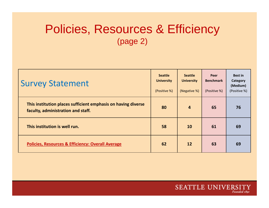#### Policies, Resources & Efficiency (page 2)

| <b>Survey Statement</b>                                                                             | <b>Seattle</b><br><b>University</b><br>(Positive %) | <b>Seattle</b><br><b>University</b><br>(Negative %) | Peer<br><b>Benchmark</b><br>(Positive %) | <b>Best in</b><br>Category<br>(Medium)<br>(Positive %) |
|-----------------------------------------------------------------------------------------------------|-----------------------------------------------------|-----------------------------------------------------|------------------------------------------|--------------------------------------------------------|
| This institution places sufficient emphasis on having diverse<br>faculty, administration and staff. | 80                                                  | $\overline{4}$                                      | 65                                       | 76                                                     |
| This institution is well run.                                                                       | 58                                                  | <b>10</b>                                           | 61                                       | 69                                                     |
| <b>Policies, Resources &amp; Efficiency: Overall Average</b>                                        | 62                                                  | <b>12</b>                                           | 63                                       | 69                                                     |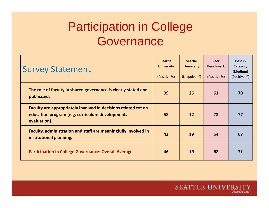# Participation in College **Governance**

| <b>Survey Statement</b>                                                                                                           | <b>Seattle</b><br><b>University</b><br>(Positive %) | <b>Seattle</b><br><b>University</b><br>(Negative %) | Peer<br><b>Benchmark</b><br>(Positive %) | <b>Best in</b><br>Category<br>(Medium)<br>(Positive %) |
|-----------------------------------------------------------------------------------------------------------------------------------|-----------------------------------------------------|-----------------------------------------------------|------------------------------------------|--------------------------------------------------------|
| The role of faculty in shared governance is clearly stated and<br>publicized.                                                     | 39                                                  | 26                                                  | 61                                       | 70                                                     |
| Faculty are appropriately involved in decisions related tot eh<br>education program (e.g. curriculum development,<br>evaluation). | 58                                                  | 12                                                  | 72                                       | 77                                                     |
| Faculty, administration and staff are meaningfully involved in<br>institutional planning.                                         | 43                                                  | 19                                                  | 54                                       | 67                                                     |
| <b>Participation in College Governance: Overall Average</b>                                                                       | 46                                                  | 19                                                  | 62                                       | 71                                                     |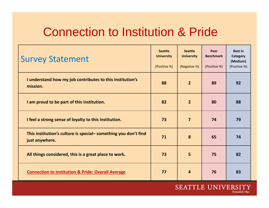#### Connection to Institution & Pride

| <b>Survey Statement</b>                                                          | <b>Seattle</b><br><b>University</b><br>(Positive %) | <b>Seattle</b><br><b>University</b><br>(Negative %) | Peer<br><b>Benchmark</b><br>(Positive %) | <b>Best in</b><br>Category<br>(Medium)<br>(Positive %) |
|----------------------------------------------------------------------------------|-----------------------------------------------------|-----------------------------------------------------|------------------------------------------|--------------------------------------------------------|
| I understand how my job contributes to this institution's<br>mission.            | 88                                                  | 2 <sup>2</sup>                                      | 89                                       | 92                                                     |
| I am proud to be part of this institution.                                       | 82                                                  | $\overline{2}$                                      | 80                                       | 88                                                     |
| I feel a strong sense of loyalty to this institution.                            | 73                                                  | $\overline{7}$                                      | 74                                       | 79                                                     |
| This institution's culture is special-something you don't find<br>just anywhere. | 71                                                  | 8                                                   | 65                                       | 74                                                     |
| All things considered, this is a great place to work.                            | 73                                                  | 5                                                   | 75                                       | 82                                                     |
| <b>Connection to Institution &amp; Pride: Overall Average</b>                    | 77                                                  | $\overline{4}$                                      | 76                                       | 83                                                     |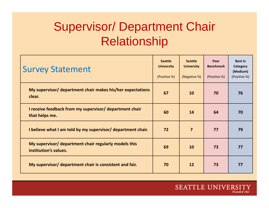# Supervisor/ Department Chair Relationship

| <b>Survey Statement</b>                                                        | <b>Seattle</b><br><b>University</b><br>(Positive %) | <b>Seattle</b><br><b>University</b><br>(Negative %) | Peer<br><b>Benchmark</b><br>(Positive %) | <b>Best in</b><br>Category<br>(Medium)<br>(Positive %) |
|--------------------------------------------------------------------------------|-----------------------------------------------------|-----------------------------------------------------|------------------------------------------|--------------------------------------------------------|
| My supervisor/ department chair makes his/her expectations<br>clear.           | 67                                                  | <b>10</b>                                           | 70                                       | 76                                                     |
| I receive feedback from my supervisor/ department chair<br>that helps me.      | 60                                                  | 14                                                  | 64                                       | 70                                                     |
| I believe what I am told by my supervisor/ department chair.                   | 72                                                  | $\overline{7}$                                      | 77                                       | 79                                                     |
| My supervisor/ department chair regularly models this<br>institution's values. | 69                                                  | 10                                                  | 73                                       | 77                                                     |
| My supervisor/ department chair is consistent and fair.                        | 70                                                  | 12                                                  | 73                                       | 77                                                     |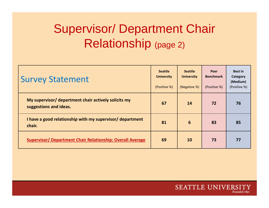# Supervisor/ Department Chair Relationship (page 2)

| <b>Survey Statement</b>                                                        | <b>Seattle</b><br><b>University</b><br>(Positive %) | <b>Seattle</b><br><b>University</b><br>(Negative %) | Peer<br><b>Benchmark</b><br>(Positive %) | <b>Best in</b><br>Category<br>(Medium)<br>(Positive %) |
|--------------------------------------------------------------------------------|-----------------------------------------------------|-----------------------------------------------------|------------------------------------------|--------------------------------------------------------|
| My supervisor/ department chair actively solicits my<br>suggestions and ideas. | 67                                                  | 14                                                  | 72                                       | 76                                                     |
| I have a good relationship with my supervisor/ department<br>chair.            | 81                                                  | 6                                                   | 83                                       | 85                                                     |
| <b>Supervisor/ Department Chair Relationship: Overall Average</b>              | 69                                                  | 10                                                  | 73                                       | 77                                                     |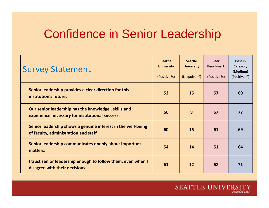#### Confidence in Senior Leadershi p

| <b>Survey Statement</b>                                                                                | <b>Seattle</b><br><b>University</b><br>(Positive %) | <b>Seattle</b><br><b>University</b><br>(Negative %) | Peer<br><b>Benchmark</b><br>(Positive %) | <b>Best in</b><br>Category<br>(Medium)<br>(Positive %) |
|--------------------------------------------------------------------------------------------------------|-----------------------------------------------------|-----------------------------------------------------|------------------------------------------|--------------------------------------------------------|
| Senior leadership provides a clear direction for this<br>institution's future.                         | 53                                                  | 15                                                  | 57                                       | 69                                                     |
| Our senior leadership has the knowledge, skills and<br>experience necessary for institutional success. | 66                                                  | 8                                                   | 67                                       | 77                                                     |
| Senior leadership shows a genuine interest in the well-being<br>of faculty, administration and staff.  | 60                                                  | 15                                                  | 61                                       | 69                                                     |
| Senior leadership communicates openly about important<br>matters.                                      | 54                                                  | 14                                                  | 51                                       | 64                                                     |
| I trust senior leadership enough to follow them, even when I<br>disagree with their decisions.         | 61                                                  | 12                                                  | 68                                       | 71                                                     |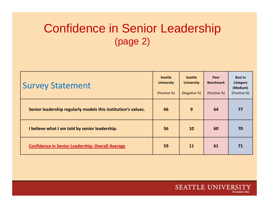## Confidence in Senior Leadership  $(page 2)$

| <b>Survey Statement</b>                                       | <b>Seattle</b><br><b>University</b><br>(Positive %) | <b>Seattle</b><br><b>University</b><br>(Negative %) | Peer<br><b>Benchmark</b><br>(Positive %) | <b>Best in</b><br>Category<br>(Medium)<br>(Positive %) |
|---------------------------------------------------------------|-----------------------------------------------------|-----------------------------------------------------|------------------------------------------|--------------------------------------------------------|
| Senior leadership regularly models this institution's values. | 66                                                  | 9                                                   | 64                                       | 77                                                     |
| I believe what I am told by senior leadership.                | 56                                                  | 10                                                  | 60                                       | 70                                                     |
| <b>Confidence in Senior Leadership: Overall Average</b>       | 59                                                  | 11                                                  | 61                                       | 71                                                     |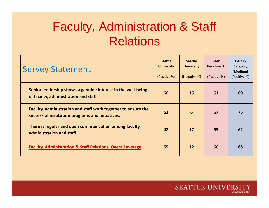# Faculty, Administration & Staff Relations

| <b>Survey Statement</b>                                                                                           | <b>Seattle</b><br><b>University</b><br>(Positive %) | <b>Seattle</b><br><b>University</b><br>(Negative %) | Peer<br><b>Benchmark</b><br>(Positive %) | <b>Best in</b><br>Category<br>(Medium)<br>(Positive %) |
|-------------------------------------------------------------------------------------------------------------------|-----------------------------------------------------|-----------------------------------------------------|------------------------------------------|--------------------------------------------------------|
| Senior leadership shows a genuine interest in the well-being<br>of faculty, administration and staff.             | 60                                                  | 15                                                  | 61                                       | 69                                                     |
| Faculty, administration and staff work together to ensure the<br>success of institution programs and initiatives. | 63                                                  | 6                                                   | 67                                       | 75                                                     |
| There is regular and open communication among faculty,<br>administration and staff.                               | 42                                                  | 17                                                  | 53                                       | 62                                                     |
| <b>Faculty, Administration &amp; Staff Relations: Overall average</b>                                             | 55                                                  | <b>12</b>                                           | 60                                       | 68                                                     |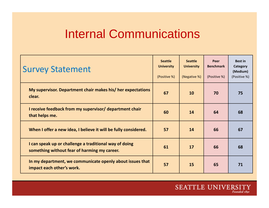## Internal Communications

| <b>Survey Statement</b>                                                                                | <b>Seattle</b><br><b>University</b><br>(Positive %) | <b>Seattle</b><br><b>University</b><br>(Negative %) | Peer<br><b>Benchmark</b><br>(Positive %) | <b>Best in</b><br>Category<br>(Medium)<br>(Positive %) |
|--------------------------------------------------------------------------------------------------------|-----------------------------------------------------|-----------------------------------------------------|------------------------------------------|--------------------------------------------------------|
| My supervisor. Department chair makes his/ her expectations<br>clear.                                  | 67                                                  | 10                                                  | 70                                       | 75                                                     |
| I receive feedback from my supervisor/ department chair<br>that helps me.                              | 60                                                  | 14                                                  | 64                                       | 68                                                     |
| When I offer a new idea, I believe it will be fully considered.                                        | 57                                                  | 14                                                  | 66                                       | 67                                                     |
| I can speak up or challenge a traditional way of doing<br>something without fear of harming my career. | 61                                                  | 17                                                  | 66                                       | 68                                                     |
| In my department, we communicate openly about issues that<br>impact each other's work.                 | 57                                                  | 15                                                  | 65                                       | 71                                                     |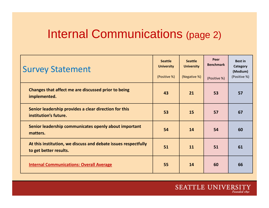#### Internal Communications (page 2)

| <b>Survey Statement</b>                                                                  | <b>Seattle</b><br><b>University</b><br>(Positive %) | <b>Seattle</b><br><b>University</b><br>(Negative %) | Peer<br><b>Benchmark</b><br>(Positive %) | <b>Best in</b><br>Category<br>(Medium)<br>(Positive %) |
|------------------------------------------------------------------------------------------|-----------------------------------------------------|-----------------------------------------------------|------------------------------------------|--------------------------------------------------------|
| Changes that affect me are discussed prior to being<br>implemented.                      | 43                                                  | 21                                                  | 53                                       | 57                                                     |
| Senior leadership provides a clear direction for this<br>institution's future.           | 53                                                  | 15                                                  | 57                                       | 67                                                     |
| Senior leadership communicates openly about important<br>matters.                        | 54                                                  | 14                                                  | 54                                       | 60                                                     |
| At this institution, we discuss and debate issues respectfully<br>to get better results. | 51                                                  | 11                                                  | 51                                       | 61                                                     |
| <b>Internal Communications: Overall Average</b>                                          | 55                                                  | 14                                                  | 60                                       | 66                                                     |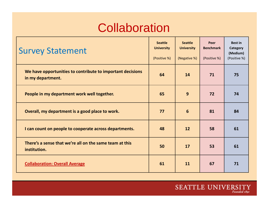## **Collaboration**

| <b>Survey Statement</b>                                                         | <b>Seattle</b><br><b>University</b><br>(Positive %) | <b>Seattle</b><br><b>University</b><br>(Negative %) | Peer<br><b>Benchmark</b><br>(Positive %) | <b>Best in</b><br>Category<br>(Medium)<br>(Positive %) |
|---------------------------------------------------------------------------------|-----------------------------------------------------|-----------------------------------------------------|------------------------------------------|--------------------------------------------------------|
| We have opportunities to contribute to important decisions<br>in my department. | 64                                                  | 14                                                  | 71                                       | 75                                                     |
| People in my department work well together.                                     | 65                                                  | 9                                                   | 72                                       | 74                                                     |
| Overall, my department is a good place to work.                                 | 77                                                  | 6                                                   | 81                                       | 84                                                     |
| I can count on people to cooperate across departments.                          | 48                                                  | 12                                                  | 58                                       | 61                                                     |
| There's a sense that we're all on the same team at this<br>institution.         | 50                                                  | 17                                                  | 53                                       | 61                                                     |
| <b>Collaboration: Overall Average</b>                                           | 61                                                  | 11                                                  | 67                                       | 71                                                     |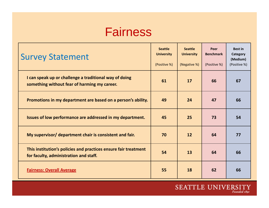#### **Fairness**

| <b>Survey Statement</b>                                                                                   | <b>Seattle</b><br><b>University</b><br>(Positive %) | <b>Seattle</b><br><b>University</b><br>(Negative %) | Peer<br><b>Benchmark</b><br>(Positive %) | <b>Best in</b><br>Category<br>(Medium)<br>(Positive %) |
|-----------------------------------------------------------------------------------------------------------|-----------------------------------------------------|-----------------------------------------------------|------------------------------------------|--------------------------------------------------------|
| I can speak up or challenge a traditional way of doing<br>something without fear of harming my career.    | 61                                                  | 17                                                  | 66                                       | 67                                                     |
| Promotions in my department are based on a person's ability.                                              | 49                                                  | 24                                                  | 47                                       | 66                                                     |
| Issues of low performance are addressed in my department.                                                 | 45                                                  | 25                                                  | 73                                       | 54                                                     |
| My supervisor/ department chair is consistent and fair.                                                   | 70                                                  | 12                                                  | 64                                       | 77                                                     |
| This institution's policies and practices ensure fair treatment<br>for faculty, administration and staff. | 54                                                  | 13                                                  | 64                                       | 66                                                     |
| <b>Fairness: Overall Average</b>                                                                          | 55                                                  | 18                                                  | 62                                       | 66                                                     |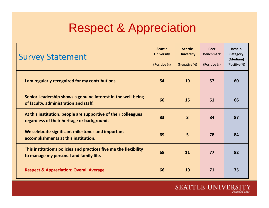## Respect & Appreciation

| <b>Survey Statement</b>                                                                                       | <b>Seattle</b><br><b>University</b><br>(Positive %) | <b>Seattle</b><br><b>University</b><br>(Negative %) | Peer<br><b>Benchmark</b><br>(Positive %) | <b>Best in</b><br>Category<br>(Medium)<br>(Positive %) |
|---------------------------------------------------------------------------------------------------------------|-----------------------------------------------------|-----------------------------------------------------|------------------------------------------|--------------------------------------------------------|
| I am regularly recognized for my contributions.                                                               | 54                                                  | 19                                                  | 57                                       | 60                                                     |
| Senior Leadership shows a genuine interest in the well-being<br>of faculty, administration and staff.         | 60                                                  | 15                                                  | 61                                       | 66                                                     |
| At this institution, people are supportive of their colleagues<br>regardless of their heritage or background. | 83                                                  | $\overline{\mathbf{3}}$                             | 84                                       | 87                                                     |
| We celebrate significant milestones and important<br>accomplishments at this institution.                     | 69                                                  | 5                                                   | 78                                       | 84                                                     |
| This institution's policies and practices five me the flexibility<br>to manage my personal and family life.   | 68                                                  | 11                                                  | 77                                       | 82                                                     |
| <b>Respect &amp; Appreciation: Overall Average</b>                                                            | 66                                                  | 10                                                  | 71                                       | 75                                                     |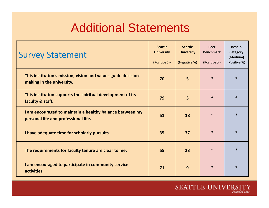## Additional Statements

| <b>Survey Statement</b>                                                                          | <b>Seattle</b><br><b>University</b><br>(Positive %) | <b>Seattle</b><br><b>University</b><br>(Negative %) | Peer<br><b>Benchmark</b><br>(Positive %) | <b>Best in</b><br>Category<br>(Medium)<br>(Positive %) |
|--------------------------------------------------------------------------------------------------|-----------------------------------------------------|-----------------------------------------------------|------------------------------------------|--------------------------------------------------------|
| This institution's mission, vision and values guide decision-<br>making in the university.       | 70                                                  | 5                                                   | $\ast$                                   | $\ast$                                                 |
| This institution supports the spiritual development of its<br>faculty & staff.                   | 79                                                  | $\overline{\mathbf{3}}$                             | $\ast$                                   | $\ast$                                                 |
| I am encouraged to maintain a healthy balance between my<br>personal life and professional life. | 51                                                  | 18                                                  | $\ast$                                   | $\ast$                                                 |
| I have adequate time for scholarly pursuits.                                                     | 35                                                  | 37                                                  | $\ast$                                   | $\ast$                                                 |
| The requirements for faculty tenure are clear to me.                                             | 55                                                  | 23                                                  | $\ast$                                   | $\ast$                                                 |
| I am encouraged to participate in community service<br>activities.                               | 71                                                  | 9                                                   | $\ast$                                   | $\ast$                                                 |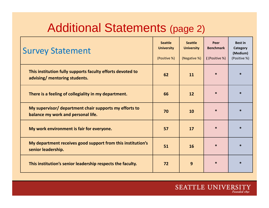## Additional Statements (page 2)

| <b>Survey Statement</b>                                                                      | <b>Seattle</b><br><b>University</b><br>(Positive %) | <b>Seattle</b><br><b>University</b><br>(Negative %) | Peer<br><b>Benchmark</b><br>((Positive %) | <b>Best in</b><br>Category<br>(Medium)<br>(Positive %) |
|----------------------------------------------------------------------------------------------|-----------------------------------------------------|-----------------------------------------------------|-------------------------------------------|--------------------------------------------------------|
| This institution fully supports faculty efforts devoted to<br>advising/ mentoring students.  | 62                                                  | 11                                                  | $\ast$                                    | $\ast$                                                 |
| There is a feeling of collegiality in my department.                                         | 66                                                  | 12                                                  | $\ast$                                    | $\ast$                                                 |
| My supervisor/ department chair supports my efforts to<br>balance my work and personal life. | 70                                                  | 10                                                  | $\ast$                                    | $\ast$                                                 |
| My work environment is fair for everyone.                                                    | 57                                                  | 17                                                  | $\ast$                                    | $\ast$                                                 |
| My department receives good support from this institution's<br>senior leadership.            | 51                                                  | 16                                                  | $\ast$                                    | $\ast$                                                 |
| This institution's senior leadership respects the faculty.                                   | 72                                                  | 9                                                   | $\ast$                                    | $\ast$                                                 |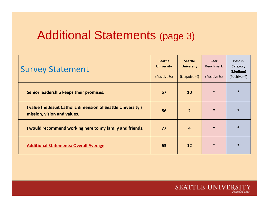### Additional Statements (page 3)

| <b>Survey Statement</b>                                                                      | <b>Seattle</b><br><b>University</b><br>(Positive %) | <b>Seattle</b><br><b>University</b><br>(Negative %) | Peer<br><b>Benchmark</b><br>(Positive %) | <b>Best in</b><br>Category<br>(Medium)<br>(Positive %) |
|----------------------------------------------------------------------------------------------|-----------------------------------------------------|-----------------------------------------------------|------------------------------------------|--------------------------------------------------------|
| Senior leadership keeps their promises.                                                      | 57                                                  | <b>10</b>                                           | $\ast$                                   | $\ast$                                                 |
| I value the Jesuit Catholic dimension of Seattle University's<br>mission, vision and values. | 86                                                  | $\overline{2}$                                      | $\ast$                                   | $\ast$                                                 |
| I would recommend working here to my family and friends.                                     | 77                                                  | $\overline{4}$                                      | $\ast$                                   | $\ast$                                                 |
| <b>Additional Statements: Overall Average</b>                                                | 63                                                  | <b>12</b>                                           | $\ast$                                   | $\ast$                                                 |